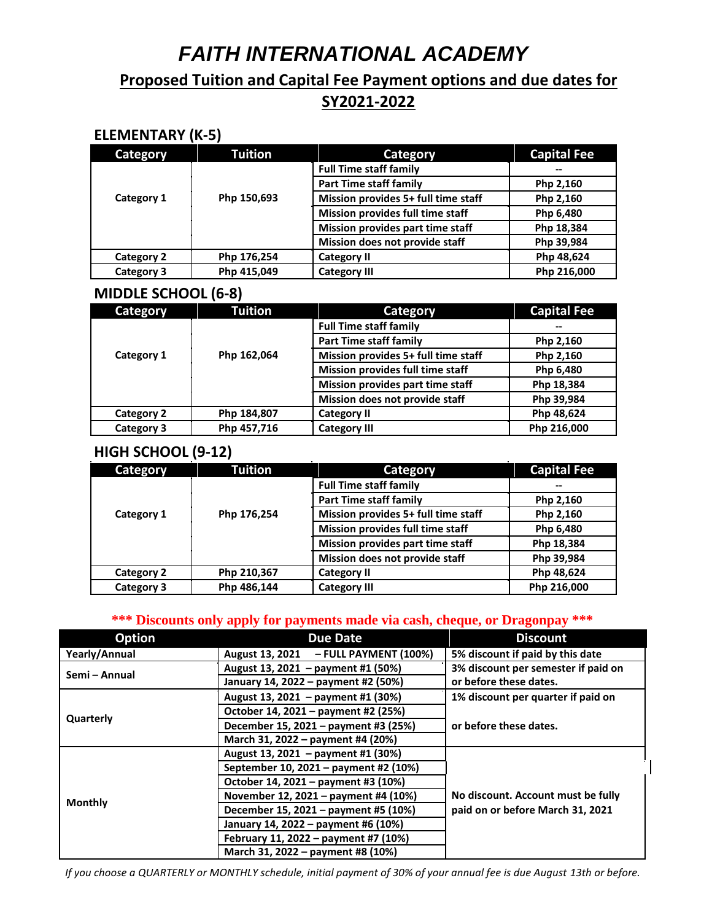# *FAITH INTERNATIONAL ACADEMY*

## **Proposed Tuition and Capital Fee Payment options and due dates for**

### **SY2021-2022**

### **ELEMENTARY (K-5)**

| Category   | <b>Tuition</b> | <b>Category</b>                     | <b>Capital Fee</b> |
|------------|----------------|-------------------------------------|--------------------|
|            |                | <b>Full Time staff family</b>       | --                 |
|            |                | <b>Part Time staff family</b>       | Php 2,160          |
| Category 1 | Php 150,693    | Mission provides 5+ full time staff | Php 2,160          |
|            |                | Mission provides full time staff    | Php 6,480          |
|            |                | Mission provides part time staff    | Php 18,384         |
|            |                | Mission does not provide staff      | Php 39,984         |
| Category 2 | Php 176,254    | <b>Category II</b>                  | Php 48,624         |
| Category 3 | Php 415,049    | <b>Category III</b>                 | Php 216,000        |

#### **MIDDLE SCHOOL (6-8)**

| Category          | <b>Tuition</b> | Category                            | <b>Capital Fee</b> |
|-------------------|----------------|-------------------------------------|--------------------|
|                   |                | <b>Full Time staff family</b>       | --                 |
|                   |                | <b>Part Time staff family</b>       | Php 2,160          |
| Category 1        | Php 162,064    | Mission provides 5+ full time staff | Php 2,160          |
|                   |                | Mission provides full time staff    | Php 6,480          |
|                   |                | Mission provides part time staff    | Php 18,384         |
|                   |                | Mission does not provide staff      | Php 39,984         |
| <b>Category 2</b> | Php 184,807    | <b>Category II</b>                  | Php 48,624         |
| Category 3        | Php 457,716    | <b>Category III</b>                 | Php 216,000        |

#### **HIGH SCHOOL (9-12)**

| Category   | <b>Tuition</b> | Category                                | <b>Capital Fee</b> |
|------------|----------------|-----------------------------------------|--------------------|
|            |                | <b>Full Time staff family</b>           | --                 |
|            |                | <b>Part Time staff family</b>           | Php 2,160          |
| Category 1 | Php 176,254    | Mission provides 5+ full time staff     | Php 2,160          |
|            |                | <b>Mission provides full time staff</b> | Php 6,480          |
|            |                | Mission provides part time staff        | Php 18,384         |
|            |                | Mission does not provide staff          | Php 39,984         |
| Category 2 | Php 210,367    | <b>Category II</b>                      | Php 48,624         |
| Category 3 | Php 486,144    | <b>Category III</b>                     | Php 216,000        |

#### **\*\*\* Discounts only apply for payments made via cash, cheque, or Dragonpay \*\*\***

| <b>Option</b>        | <b>Due Date</b>                       | <b>Discount</b>                     |  |
|----------------------|---------------------------------------|-------------------------------------|--|
| <b>Yearly/Annual</b> | August 13, 2021 - FULL PAYMENT (100%) | 5% discount if paid by this date    |  |
| Semi - Annual        | August 13, 2021 - payment #1 (50%)    | 3% discount per semester if paid on |  |
|                      | January 14, 2022 - payment #2 (50%)   | or before these dates.              |  |
|                      | August 13, 2021 - payment #1 (30%)    | 1% discount per quarter if paid on  |  |
|                      | October 14, 2021 - payment #2 (25%)   |                                     |  |
| Quarterly            | December 15, 2021 - payment #3 (25%)  | or before these dates.              |  |
|                      | March 31, 2022 – payment #4 (20%)     |                                     |  |
|                      | August 13, 2021 – payment #1 (30%)    |                                     |  |
|                      | September 10, 2021 - payment #2 (10%) | No discount. Account must be fully  |  |
|                      | October 14, 2021 – payment #3 (10%)   |                                     |  |
| <b>Monthly</b>       | November 12, 2021 - payment #4 (10%)  |                                     |  |
|                      | December 15, 2021 – payment #5 (10%)  | paid on or before March 31, 2021    |  |
|                      | January 14, 2022 – payment #6 (10%)   |                                     |  |
|                      | February 11, 2022 – payment #7 (10%)  |                                     |  |
|                      | March 31, 2022 – payment #8 (10%)     |                                     |  |

*If you choose a QUARTERLY or MONTHLY schedule, initial payment of 30% of your annual fee is due August 13th or before.*